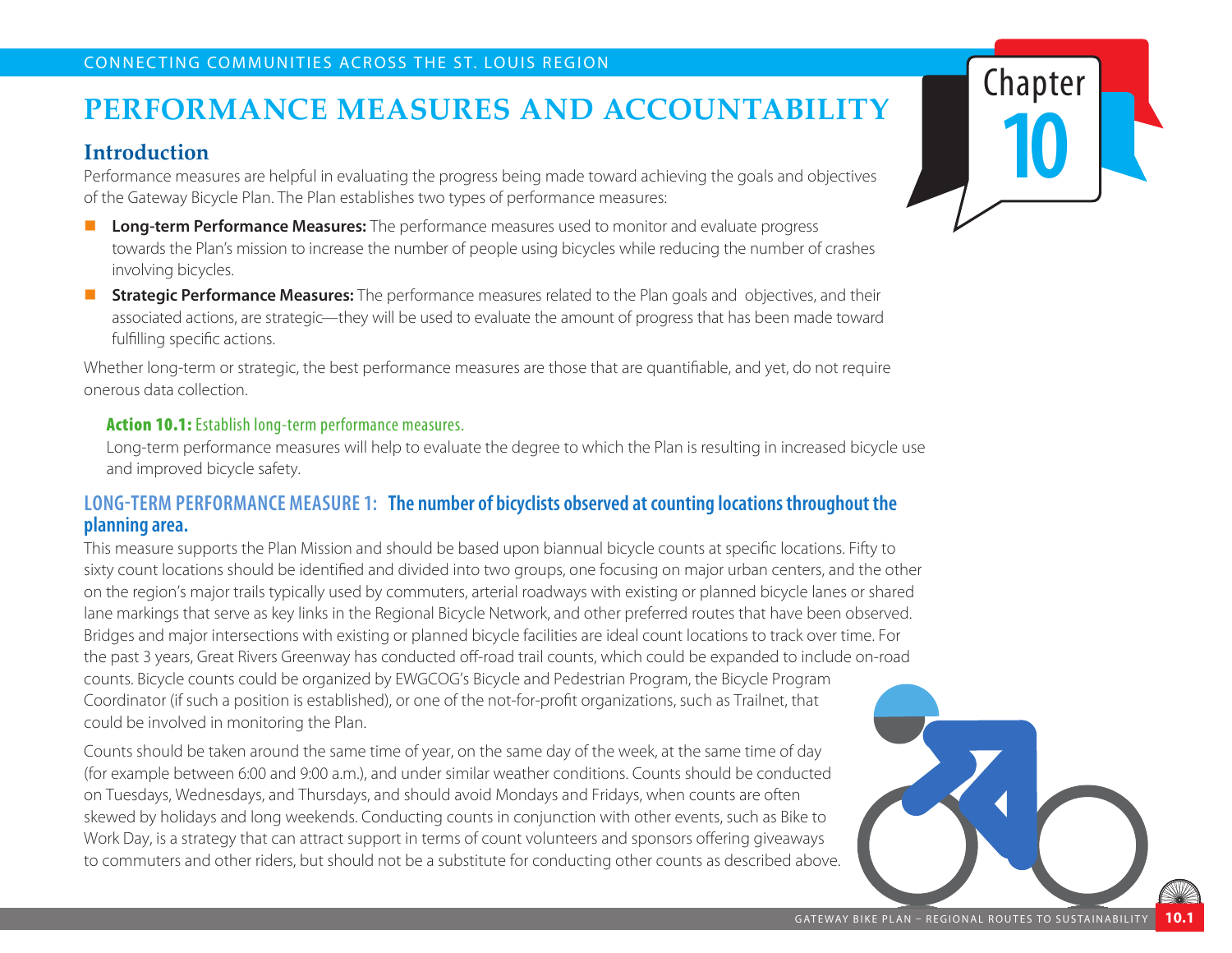# **PERFORMANCE MEASURES AND ACCOUNTABILITY**

## **Introduction**

Performance measures are helpful in evaluating the progress being made toward achieving the goals and objectives of the Gateway Bicycle Plan. The Plan establishes two types of performance measures:

- **Long-term Performance Measures:** The performance measures used to monitor and evaluate progress towards the Plan's mission to increase the number of people using bicycles while reducing the number of crashes involving bicycles.
- **Strategic Performance Measures:** The performance measures related to the Plan goals and objectives, and their associated actions, are strategic—they will be used to evaluate the amount of progress that has been made toward fulfilling specific actions.

Whether long-term or strategic, the best performance measures are those that are quantifiable, and yet, do not require onerous data collection.

### Action 10.1: Establish long-term performance measures.

Long-term performance measures will help to evaluate the degree to which the Plan is resulting in increased bicycle use and improved bicycle safety.

### **LONG-TERM PERFORMANCE MEASURE 1: The number of bicyclists observed at counting locations throughout the planning area.**

This measure supports the Plan Mission and should be based upon biannual bicycle counts at specific locations. Fifty to sixty count locations should be identified and divided into two groups, one focusing on major urban centers, and the other on the region's major trails typically used by commuters, arterial roadways with existing or planned bicycle lanes or shared lane markings that serve as key links in the Regional Bicycle Network, and other preferred routes that have been observed. Bridges and major intersections with existing or planned bicycle facilities are ideal count locations to track over time. For the past 3 years, Great Rivers Greenway has conducted off-road trail counts, which could be expanded to include on-road counts. Bicycle counts could be organized by EWGCOG's Bicycle and Pedestrian Program, the Bicycle Program Coordinator (if such a position is established), or one of the not-for-profit organizations, such as Trailnet, that could be involved in monitoring the Plan.

Counts should be taken around the same time of year, on the same day of the week, at the same time of day (for example between 6:00 and 9:00 a.m.), and under similar weather conditions. Counts should be conducted on Tuesdays, Wednesdays, and Thursdays, and should avoid Mondays and Fridays, when counts are often skewed by holidays and long weekends. Conducting counts in conjunction with other events, such as Bike to Work Day, is a strategy that can attract support in terms of count volunteers and sponsors offering giveaways to commuters and other riders, but should not be a substitute for conducting other counts as described above.

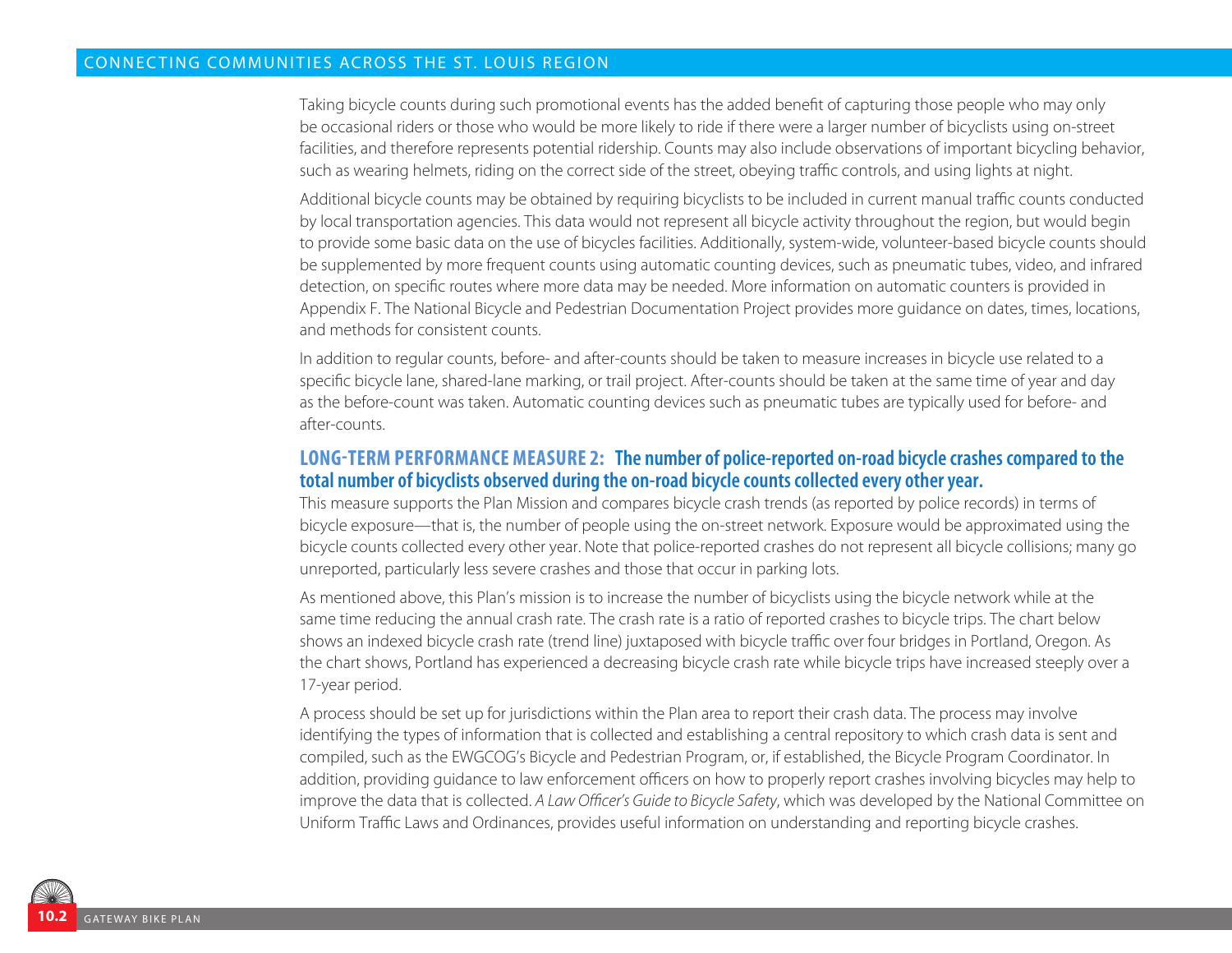Taking bicycle counts during such promotional events has the added benefit of capturing those people who may only be occasional riders or those who would be more likely to ride if there were a larger number of bicyclists using on-street facilities, and therefore represents potential ridership. Counts may also include observations of important bicycling behavior, such as wearing helmets, riding on the correct side of the street, obeying traffic controls, and using lights at night.

Additional bicycle counts may be obtained by requiring bicyclists to be included in current manual traffic counts conducted by local transportation agencies. This data would not represent all bicycle activity throughout the region, but would begin to provide some basic data on the use of bicycles facilities. Additionally, system-wide, volunteer-based bicycle counts should be supplemented by more frequent counts using automatic counting devices, such as pneumatic tubes, video, and infrared detection, on specific routes where more data may be needed. More information on automatic counters is provided in Appendix F. The National Bicycle and Pedestrian Documentation Project provides more guidance on dates, times, locations, and methods for consistent counts.

In addition to regular counts, before- and after-counts should be taken to measure increases in bicycle use related to a specific bicycle lane, shared-lane marking, or trail project. After-counts should be taken at the same time of year and day as the before-count was taken. Automatic counting devices such as pneumatic tubes are typically used for before- and after-counts.

### **LONG-TERM PERFORMANCE MEASURE 2: The number of police-reported on-road bicycle crashes compared to the total number of bicyclists observed during the on-road bicycle counts collected every other year.**

This measure supports the Plan Mission and compares bicycle crash trends (as reported by police records) in terms of bicycle exposure—that is, the number of people using the on-street network. Exposure would be approximated using the bicycle counts collected every other year. Note that police-reported crashes do not represent all bicycle collisions; many go unreported, particularly less severe crashes and those that occur in parking lots.

As mentioned above, this Plan's mission is to increase the number of bicyclists using the bicycle network while at the same time reducing the annual crash rate. The crash rate is a ratio of reported crashes to bicycle trips. The chart below shows an indexed bicycle crash rate (trend line) juxtaposed with bicycle traffic over four bridges in Portland, Oregon. As the chart shows, Portland has experienced a decreasing bicycle crash rate while bicycle trips have increased steeply over a 17-year period.

A process should be set up for jurisdictions within the Plan area to report their crash data. The process may involve identifying the types of information that is collected and establishing a central repository to which crash data is sent and compiled, such as the EWGCOG's Bicycle and Pedestrian Program, or, if established, the Bicycle Program Coordinator. In addition, providing guidance to law enforcement officers on how to properly report crashes involving bicycles may help to improve the data that is collected. *A Law Officer's Guide to Bicycle Safety*, which was developed by the National Committee on Uniform Traffic Laws and Ordinances, provides useful information on understanding and reporting bicycle crashes.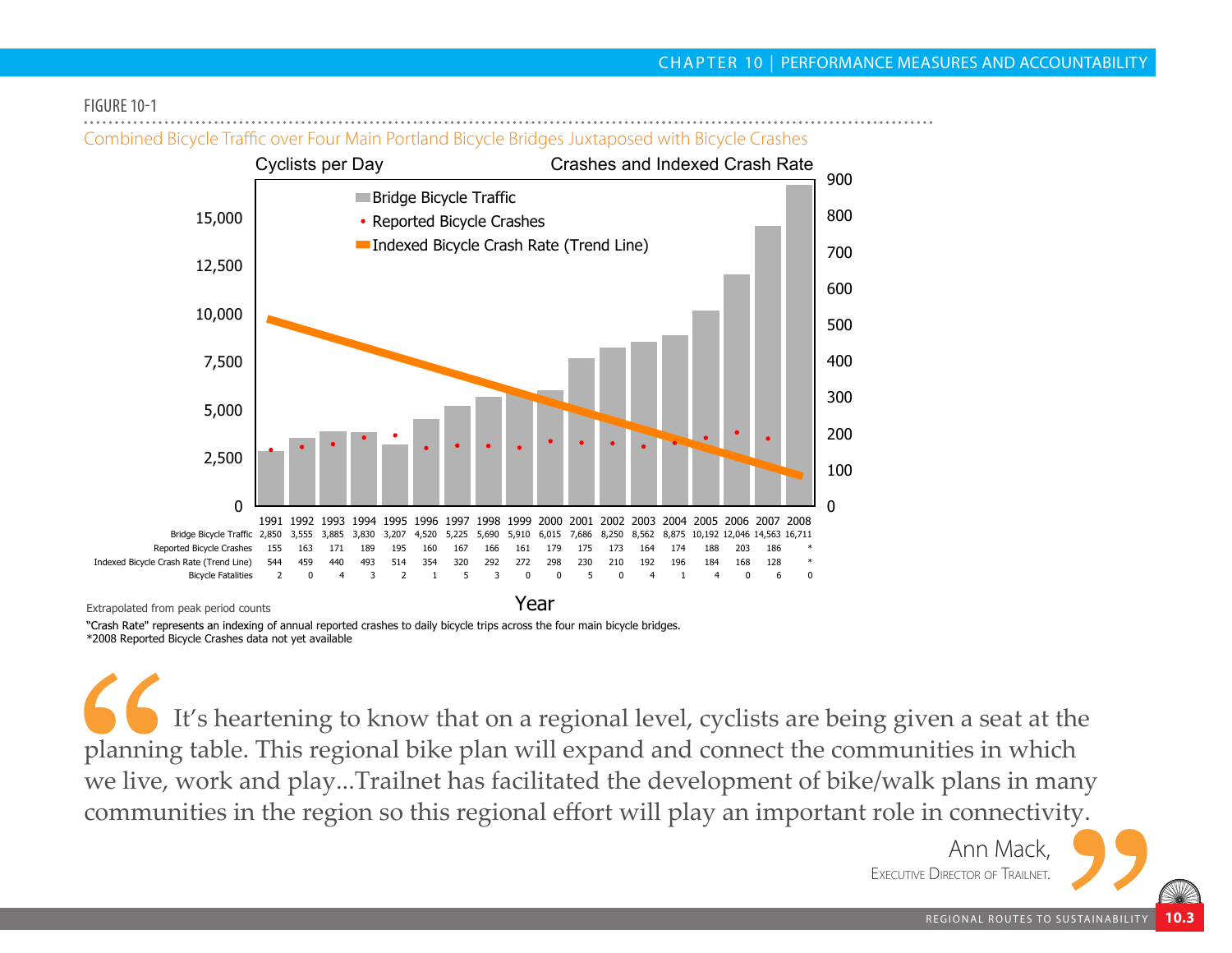#### Extrapolated from peak period counts 1991 1992 1993 1994 1995 1996 1997 1998 1999 2000 2001 2002 2003 2004 2005 2006 2007 2008 Year  $\Omega$ 2,500 5,000 7,500 10,000 12,500 15,000 Cyclists per Day  $\Omega$ 100 200 300 400 500 600 700 800 900 Crashes and Indexed Crash Rate **Bridge Bicycle Traffic** • Reported Bicycle Crashes Indexed Bicycle Crash Rate (Trend Line) Bridge Bicycle Traffic 2,850 3,555 3,885 3,830 3,207 4,520 5,225 5,690 5,910 6,015 7,686 8,250 8,562 8,875 10,192 12,046 14,563 16,711 Reported Bicycle Crashes 155 163 171 189 195 160 167 166 161 179 175 173 164 174 188 203 186 Indexed Bicycle Crash Rate (Trend Line) 544 459 440 493 514 354 320 292 272 298 230 210 192 196 184 168 128 \* Bicycle Fatalities 2 043215 3 0 0504 1 406 0 FIGURE 10-1 Combined Bicycle Traffic over Four Main Portland Bicycle Bridges Juxtaposed with Bicycle Crashes

"Crash Rate" represents an indexing of annual reported crashes to daily bicycle trips across the four main bicycle bridges. \*2008 Reported Bicycle Crashes data not yet available

It's heartening to know that on a regional level, cyclists are being given a seat at the planning table. This regional bike plan will expand and connect the communities in which we live, work and play...Trailnet has facilitated the development of bike/walk plans in many communities in the region so this regional effort will play an important role in connectivity.

Executive Director of Trailnet.

Ann Mack,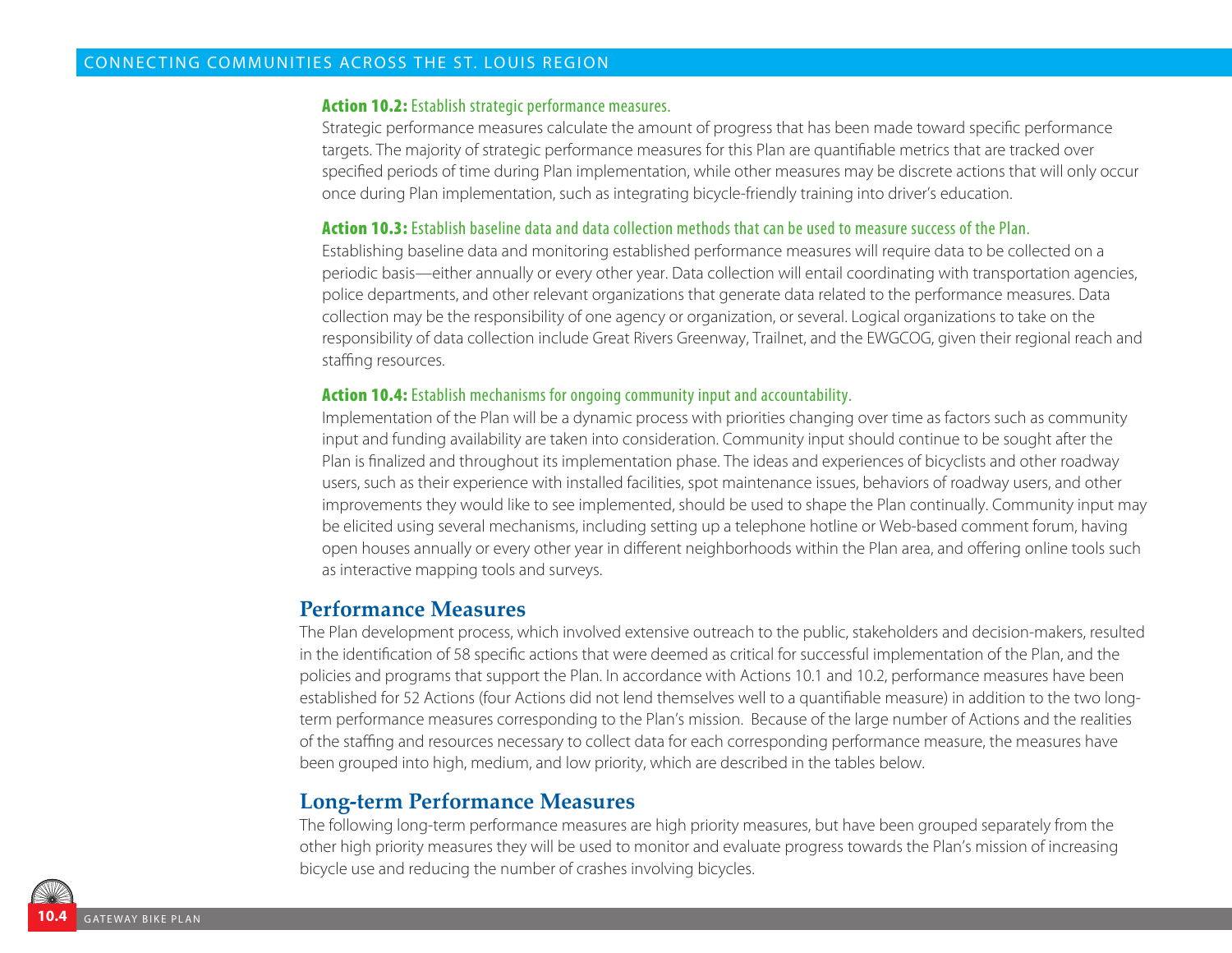#### Action 10.2: Establish strategic performance measures.

Strategic performance measures calculate the amount of progress that has been made toward specific performance targets. The majority of strategic performance measures for this Plan are quantifiable metrics that are tracked over specified periods of time during Plan implementation, while other measures may be discrete actions that will only occur once during Plan implementation, such as integrating bicycle-friendly training into driver's education.

#### Action 10.3: Establish baseline data and data collection methods that can be used to measure success of the Plan.

Establishing baseline data and monitoring established performance measures will require data to be collected on a periodic basis—either annually or every other year. Data collection will entail coordinating with transportation agencies, police departments, and other relevant organizations that generate data related to the performance measures. Data collection may be the responsibility of one agency or organization, or several. Logical organizations to take on the responsibility of data collection include Great Rivers Greenway, Trailnet, and the EWGCOG, given their regional reach and staffing resources.

#### Action 10.4: Establish mechanisms for ongoing community input and accountability.

Implementation of the Plan will be a dynamic process with priorities changing over time as factors such as community input and funding availability are taken into consideration. Community input should continue to be sought after the Plan is finalized and throughout its implementation phase. The ideas and experiences of bicyclists and other roadway users, such as their experience with installed facilities, spot maintenance issues, behaviors of roadway users, and other improvements they would like to see implemented, should be used to shape the Plan continually. Community input may be elicited using several mechanisms, including setting up a telephone hotline or Web-based comment forum, having open houses annually or every other year in different neighborhoods within the Plan area, and offering online tools such as interactive mapping tools and surveys.

### **Performance Measures**

The Plan development process, which involved extensive outreach to the public, stakeholders and decision-makers, resulted in the identification of 58 specific actions that were deemed as critical for successful implementation of the Plan, and the policies and programs that support the Plan. In accordance with Actions 10.1 and 10.2, performance measures have been established for 52 Actions (four Actions did not lend themselves well to a quantifiable measure) in addition to the two longterm performance measures corresponding to the Plan's mission. Because of the large number of Actions and the realities of the staffing and resources necessary to collect data for each corresponding performance measure, the measures have been grouped into high, medium, and low priority, which are described in the tables below.

### **Long-term Performance Measures**

The following long-term performance measures are high priority measures, but have been grouped separately from the other high priority measures they will be used to monitor and evaluate progress towards the Plan's mission of increasing bicycle use and reducing the number of crashes involving bicycles.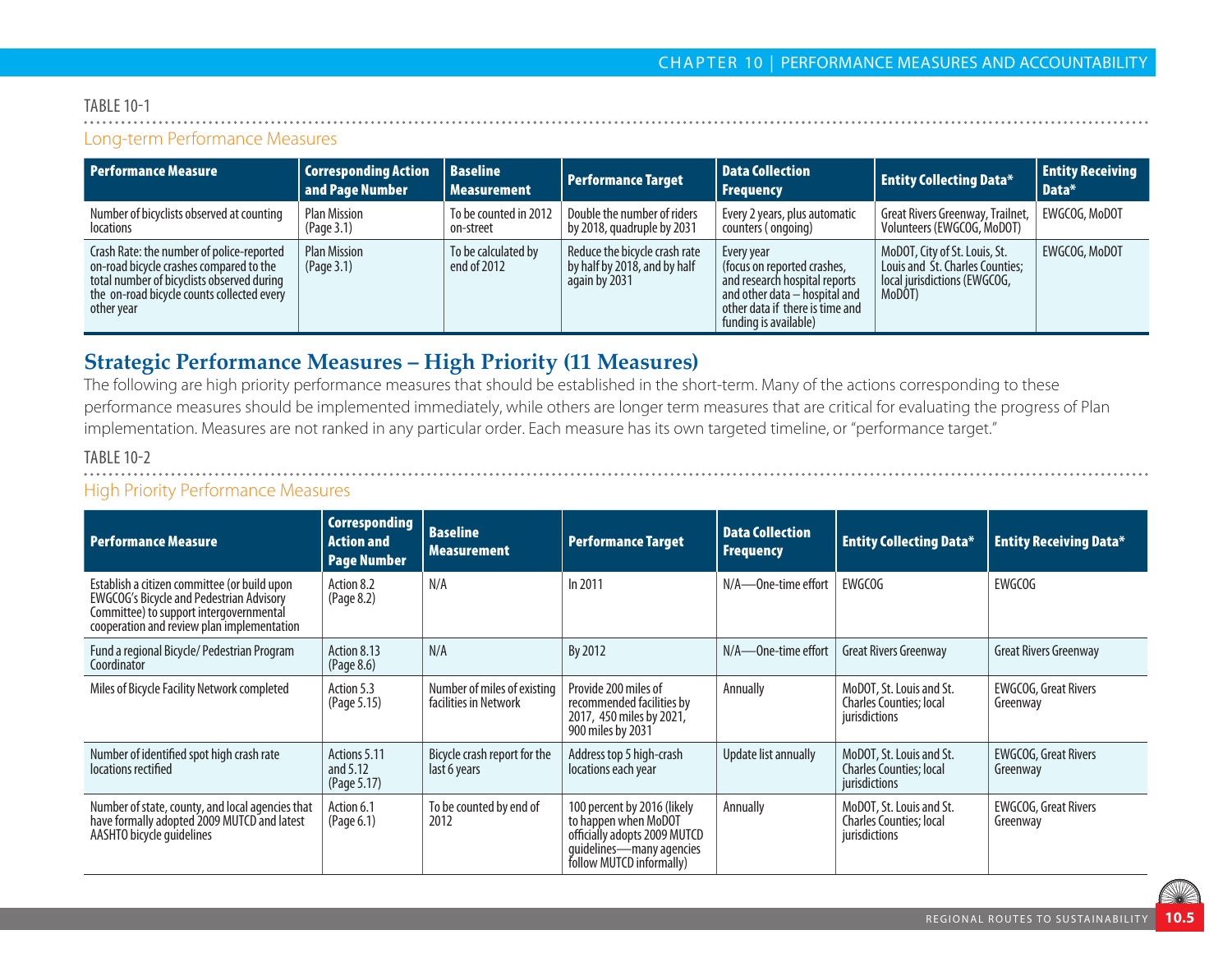### TABLE 10-1

### Long-term Performance Measures

| <b>Performance Measure</b>                                                                                                                                                                     | <b>Corresponding Action</b><br>and Page Number | <b>Baseline</b><br>  Measurement   | <b>Performance Target</b>                                                      | <b>Data Collection</b><br>Frequency                                                                                                                                     | <b>Entity Collecting Data*</b>                                                                             | <b>Entity Receiving</b><br>Data* |
|------------------------------------------------------------------------------------------------------------------------------------------------------------------------------------------------|------------------------------------------------|------------------------------------|--------------------------------------------------------------------------------|-------------------------------------------------------------------------------------------------------------------------------------------------------------------------|------------------------------------------------------------------------------------------------------------|----------------------------------|
| Number of bicyclists observed at counting<br><i>locations</i>                                                                                                                                  | <b>Plan Mission</b><br>(Page 3.1)              | To be counted in 2012<br>on-street | Double the number of riders<br>by 2018, quadruple by 2031                      | Every 2 years, plus automatic<br>counters (ongoing)                                                                                                                     | Great Rivers Greenway, Trailnet,<br>Volunteers (EWGCOG, MoDOT)                                             | EWGCOG, MoDOT                    |
| Crash Rate: the number of police-reported<br>on-road bicycle crashes compared to the<br>total number of bicyclists observed during<br>the on-road bicycle counts collected every<br>other year | <b>Plan Mission</b><br>(Page 3.1)              | To be calculated by<br>end of 2012 | Reduce the bicycle crash rate<br>by half by 2018, and by half<br>again by 2031 | Every year<br>(focus on reported crashes,<br>and research hospital reports<br>and other data – hospital and<br>other data if there is time and<br>funding is available) | MoDOT, City of St. Louis, St.<br>Louis and St. Charles Counties:<br>local jurisdictions (EWGCOG,<br>MoDOT) | EWGCOG, MoDOT                    |

## **Strategic Performance Measures – High Priority (11 Measures)**

The following are high priority performance measures that should be established in the short-term. Many of the actions corresponding to these performance measures should be implemented immediately, while others are longer term measures that are critical for evaluating the progress of Plan implementation. Measures are not ranked in any particular order. Each measure has its own targeted timeline, or "performance target."

### TABLE 10-2

### High Priority Performance Measures

| <b>Performance Measure</b>                                                                                                                                                               | <b>Corresponding</b><br><b>Action and</b><br><b>Page Number</b> | <b>Baseline</b><br><b>Measurement</b>                | <b>Performance Target</b>                                                                                                                   | <b>Data Collection</b><br><b>Frequency</b> | <b>Entity Collecting Data*</b>                                              | <b>Entity Receiving Data*</b>           |
|------------------------------------------------------------------------------------------------------------------------------------------------------------------------------------------|-----------------------------------------------------------------|------------------------------------------------------|---------------------------------------------------------------------------------------------------------------------------------------------|--------------------------------------------|-----------------------------------------------------------------------------|-----------------------------------------|
| Establish a citizen committee (or build upon<br><b>EWGCOG's Bicycle and Pedestrian Advisory</b><br>Committee) to support intergovernmental<br>cooperation and review plan implementation | Action 8.2<br>(Page 8.2)                                        | N/A                                                  | In 2011                                                                                                                                     | N/A-One-time effort                        | <b>EWGCOG</b>                                                               | <b>EWGCOG</b>                           |
| Fund a regional Bicycle/ Pedestrian Program<br>Coordinator                                                                                                                               | Action 8.13<br>(Page 8.6)                                       | N/A                                                  | By 2012                                                                                                                                     | $N/A$ —One-time effort                     | <b>Great Rivers Greenway</b>                                                | <b>Great Rivers Greenway</b>            |
| Miles of Bicycle Facility Network completed                                                                                                                                              | Action 5.3<br>(Page 5.15)                                       | Number of miles of existing<br>facilities in Network | Provide 200 miles of<br>recommended facilities by<br>2017, 450 miles by 2021,<br>900 miles by 2031                                          | Annually                                   | MoDOT, St. Louis and St.<br><b>Charles Counties; local</b><br>jurisdictions | <b>EWGCOG, Great Rivers</b><br>Greenway |
| Number of identified spot high crash rate<br>locations rectified                                                                                                                         | Actions 5.11<br>and 5.12<br>(Page 5.17)                         | Bicycle crash report for the<br>last 6 years         | Address top 5 high-crash<br>locations each year                                                                                             | Update list annually                       | MoDOT, St. Louis and St.<br><b>Charles Counties; local</b><br>jurisdictions | <b>EWGCOG, Great Rivers</b><br>Greenway |
| Number of state, county, and local agencies that<br>have formally adopted 2009 MUTCD and latest<br>AASHTO bicycle guidelines                                                             | Action 6.1<br>(Page 6.1)                                        | To be counted by end of<br>2012                      | 100 percent by 2016 (likely<br>to happen when MoDOT<br>officially adopts 2009 MUTCD<br>quidelines-many agencies<br>follow MUTCD informally) | Annually                                   | MoDOT, St. Louis and St.<br><b>Charles Counties; local</b><br>jurisdictions | <b>EWGCOG, Great Rivers</b><br>Greenway |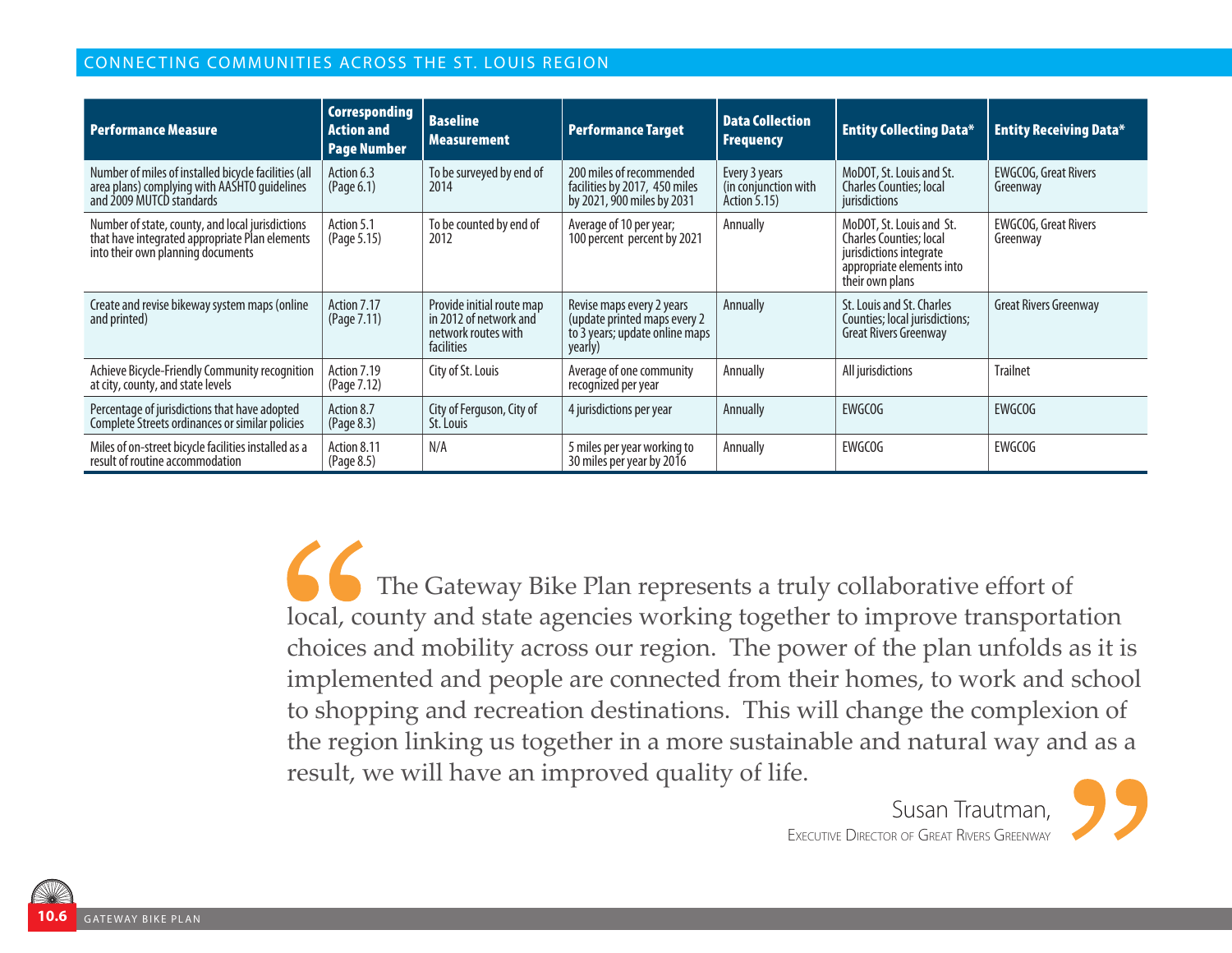| <b>Performance Measure</b>                                                                                                              | <b>Corresponding</b><br><b>Action and</b><br><b>Page Number</b> | <b>Baseline</b><br><b>Measurement</b>                                                    | <b>Performance Target</b>                                                                               | <b>Data Collection</b><br><b>Frequency</b>                   | <b>Entity Collecting Data*</b>                                                                                                        | <b>Entity Receiving Data*</b>           |
|-----------------------------------------------------------------------------------------------------------------------------------------|-----------------------------------------------------------------|------------------------------------------------------------------------------------------|---------------------------------------------------------------------------------------------------------|--------------------------------------------------------------|---------------------------------------------------------------------------------------------------------------------------------------|-----------------------------------------|
| Number of miles of installed bicycle facilities (all<br>area plans) complying with AASHTO guidelines<br>and 2009 MUTCD standards        | Action 6.3<br>(Page 6.1)                                        | To be surveyed by end of<br>2014                                                         | 200 miles of recommended<br>facilities by 2017, 450 miles<br>by 2021, 900 miles by 2031                 | Every 3 years<br>(in conjunction with<br><b>Action 5.15)</b> | MoDOT, St. Louis and St.<br><b>Charles Counties</b> ; local<br>jurisdictions                                                          | <b>EWGCOG, Great Rivers</b><br>Greenway |
| Number of state, county, and local jurisdictions<br>that have integrated appropriate Plan elements<br>into their own planning documents | Action 5.1<br>(Page 5.15)                                       | To be counted by end of<br>2012                                                          | Average of 10 per year;<br>100 percent percent by 2021                                                  | Annually                                                     | MoDOT, St. Louis and St.<br><b>Charles Counties: local</b><br>jurisdictions integrate<br>appropriate elements into<br>their own plans | <b>EWGCOG, Great Rivers</b><br>Greenway |
| Create and revise bikeway system maps (online<br>and printed)                                                                           | Action 7.17<br>(Page 7.11)                                      | Provide initial route map<br>in 2012 of network and<br>network routes with<br>facilities | Revise maps every 2 years<br>(update printed maps every 2)<br>to 3 years; update online maps<br>yearly) | Annually                                                     | St. Louis and St. Charles<br>Counties; local jurisdictions;<br><b>Great Rivers Greenway</b>                                           | <b>Great Rivers Greenway</b>            |
| Achieve Bicycle-Friendly Community recognition<br>at city, county, and state levels                                                     | Action 7.19<br>(Page 7.12)                                      | City of St. Louis                                                                        | Average of one community<br>recognized per year                                                         | Annually                                                     | All jurisdictions                                                                                                                     | <b>Trailnet</b>                         |
| Percentage of jurisdictions that have adopted<br>Complete Streets ordinances or similar policies                                        | Action 8.7<br>(Page 8.3)                                        | City of Ferguson, City of<br>St. Louis                                                   | 4 jurisdictions per year                                                                                | Annually                                                     | <b>EWGCOG</b>                                                                                                                         | <b>EWGCOG</b>                           |
| Miles of on-street bicycle facilities installed as a<br>result of routine accommodation                                                 | Action 8.11<br>(Page 8.5)                                       | N/A                                                                                      | 5 miles per year working to<br>30 miles per year by 2016                                                | Annually                                                     | <b>EWGCOG</b>                                                                                                                         | <b>EWGCOG</b>                           |

The Gateway Bike Plan represents a truly collaborative effort of local, county and state agencies working together to improve transportation choices and mobility across our region. The power of the plan unfolds as it is implemented and people are connected from their homes, to work and school to shopping and recreation destinations. This will change the complexion of the region linking us together in a more sustainable and natural way and as a result, we will have an improved quality of life.



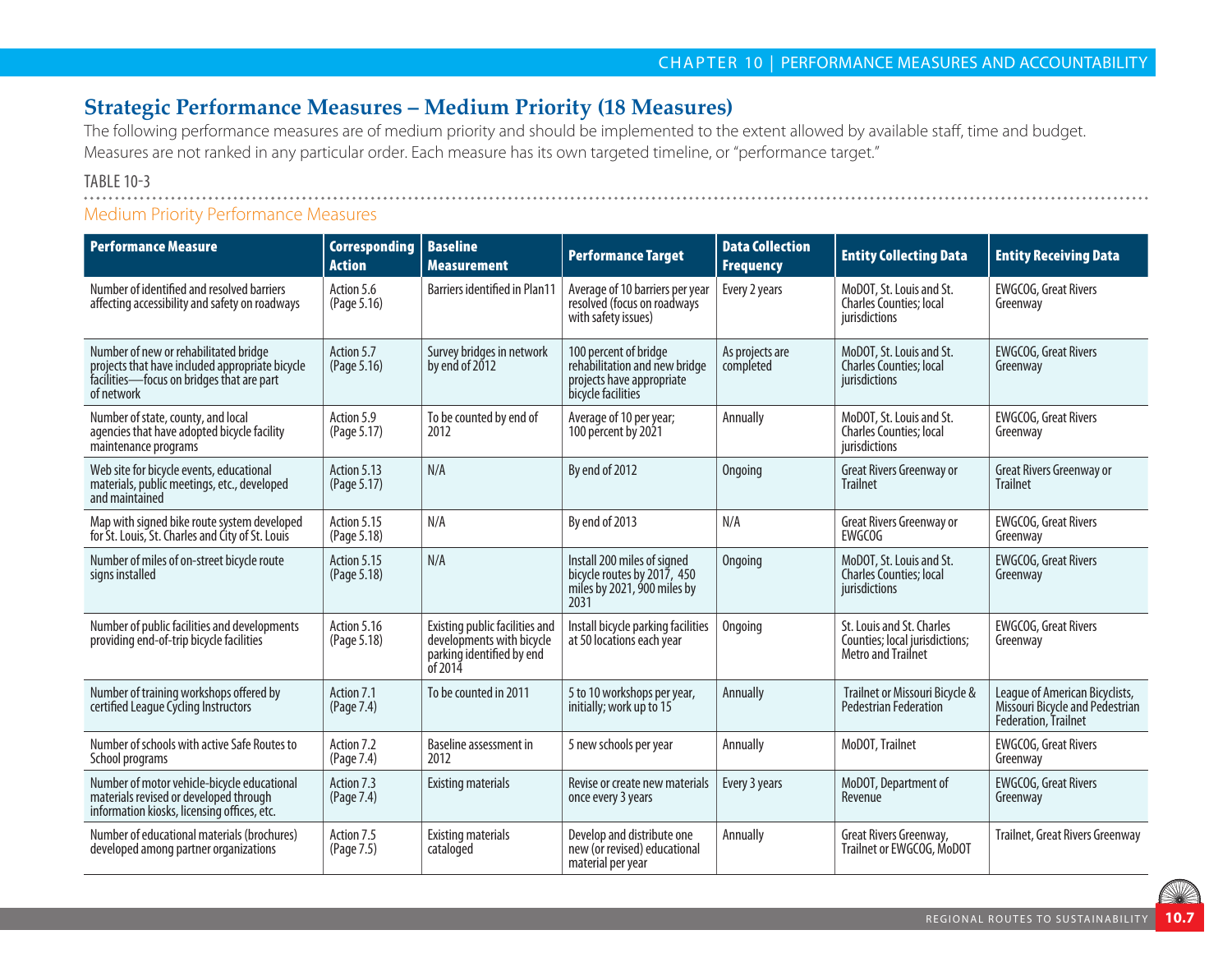# **Strategic Performance Measures – Medium Priority (18 Measures)**

The following performance measures are of medium priority and should be implemented to the extent allowed by available staff, time and budget. Measures are not ranked in any particular order. Each measure has its own targeted timeline, or "performance target."

# TABLE 10-3

## Medium Priority Performance Measures

| <b>Performance Measure</b>                                                                                                                          | <b>Corresponding</b><br><b>Action</b> | <b>Baseline</b><br><b>Measurement</b>                                                               | <b>Performance Target</b>                                                                                 | <b>Data Collection</b><br><b>Frequency</b> | <b>Entity Collecting Data</b>                                                            | <b>Entity Receiving Data</b>                                                              |
|-----------------------------------------------------------------------------------------------------------------------------------------------------|---------------------------------------|-----------------------------------------------------------------------------------------------------|-----------------------------------------------------------------------------------------------------------|--------------------------------------------|------------------------------------------------------------------------------------------|-------------------------------------------------------------------------------------------|
| Number of identified and resolved barriers<br>affecting accessibility and safety on roadways                                                        | Action 5.6<br>(Page 5.16)             | <b>Barriers identified in Plan11</b>                                                                | Average of 10 barriers per year<br>resolved (focus on roadways<br>with safety issues)                     | Every 2 years                              | MoDOT, St. Louis and St.<br><b>Charles Counties: local</b><br>jurisdictions              | <b>EWGCOG, Great Rivers</b><br>Greenway                                                   |
| Number of new or rehabilitated bridge<br>projects that have included appropriate bicycle<br>facilities-focus on bridges that are part<br>of network | Action 5.7<br>(Page 5.16)             | Survey bridges in network<br>by end of 2012                                                         | 100 percent of bridge<br>rehabilitation and new bridge<br>projects have appropriate<br>bicycle facilities | As projects are<br>completed               | MoDOT, St. Louis and St.<br><b>Charles Counties; local</b><br>jurisdictions              | <b>EWGCOG, Great Rivers</b><br>Greenway                                                   |
| Number of state, county, and local<br>agencies that have adopted bicycle facility<br>maintenance programs                                           | Action 5.9<br>(Page 5.17)             | To be counted by end of<br>2012                                                                     | Average of 10 per year;<br>100 percent by 2021                                                            | Annually                                   | MoDOT, St. Louis and St.<br><b>Charles Counties: local</b><br>jurisdictions              | <b>EWGCOG, Great Rivers</b><br>Greenway                                                   |
| Web site for bicycle events, educational<br>materials, public meetings, etc., developed<br>and maintained                                           | Action 5.13<br>(Page 5.17)            | N/A                                                                                                 | By end of 2012                                                                                            | <b>Ongoing</b>                             | Great Rivers Greenway or<br><b>Trailnet</b>                                              | Great Rivers Greenway or<br><b>Trailnet</b>                                               |
| Map with signed bike route system developed<br>for St. Louis, St. Charles and City of St. Louis                                                     | Action 5.15<br>(Page 5.18)            | N/A                                                                                                 | By end of 2013                                                                                            | N/A                                        | Great Rivers Greenway or<br><b>EWGCOG</b>                                                | <b>EWGCOG, Great Rivers</b><br>Greenway                                                   |
| Number of miles of on-street bicycle route<br>signs installed                                                                                       | Action 5.15<br>(Page 5.18)            | N/A                                                                                                 | Install 200 miles of signed<br>bicycle routes by 2017, 450<br>miles by 2021, 900 miles by<br>2031         | Ongoing                                    | MoDOT, St. Louis and St.<br>Charles Counties; local<br>jurisdictions                     | <b>EWGCOG, Great Rivers</b><br>Greenway                                                   |
| Number of public facilities and developments<br>providing end-of-trip bicycle facilities                                                            | Action 5.16<br>(Page 5.18)            | Existing public facilities and<br>developments with bicycle<br>parking identified by end<br>of 2014 | Install bicycle parking facilities<br>at 50 locations each year                                           | Ongoing                                    | St. Louis and St. Charles<br>Counties; local jurisdictions;<br><b>Metro and Trailnet</b> | <b>EWGCOG, Great Rivers</b><br>Greenway                                                   |
| Number of training workshops offered by<br>certified League Cycling Instructors                                                                     | Action 7.1<br>(Page 7.4)              | To be counted in 2011                                                                               | 5 to 10 workshops per year,<br>initially; work up to 15                                                   | Annually                                   | Trailnet or Missouri Bicycle &<br><b>Pedestrian Federation</b>                           | League of American Bicyclists,<br>Missouri Bicycle and Pedestrian<br>Federation, Trailnet |
| Number of schools with active Safe Routes to<br>School programs                                                                                     | Action 7.2<br>(Page 7.4)              | Baseline assessment in<br>2012                                                                      | 5 new schools per year                                                                                    | Annually                                   | MoDOT, Trailnet                                                                          | <b>EWGCOG, Great Rivers</b><br>Greenway                                                   |
| Number of motor vehicle-bicycle educational<br>materials revised or developed through<br>information kiosks, licensing offices, etc.                | Action 7.3<br>(Page 7.4)              | <b>Existing materials</b>                                                                           | Revise or create new materials<br>once every 3 years                                                      | Every 3 years                              | MoDOT, Department of<br>Revenue                                                          | <b>EWGCOG, Great Rivers</b><br>Greenway                                                   |
| Number of educational materials (brochures)<br>developed among partner organizations                                                                | Action 7.5<br>(Page 7.5)              | <b>Existing materials</b><br>cataloged                                                              | Develop and distribute one<br>new (or revised) educational<br>material per year                           | Annually                                   | Great Rivers Greenway,<br>Trailnet or EWGCOG, MoDOT                                      | <b>Trailnet, Great Rivers Greenway</b>                                                    |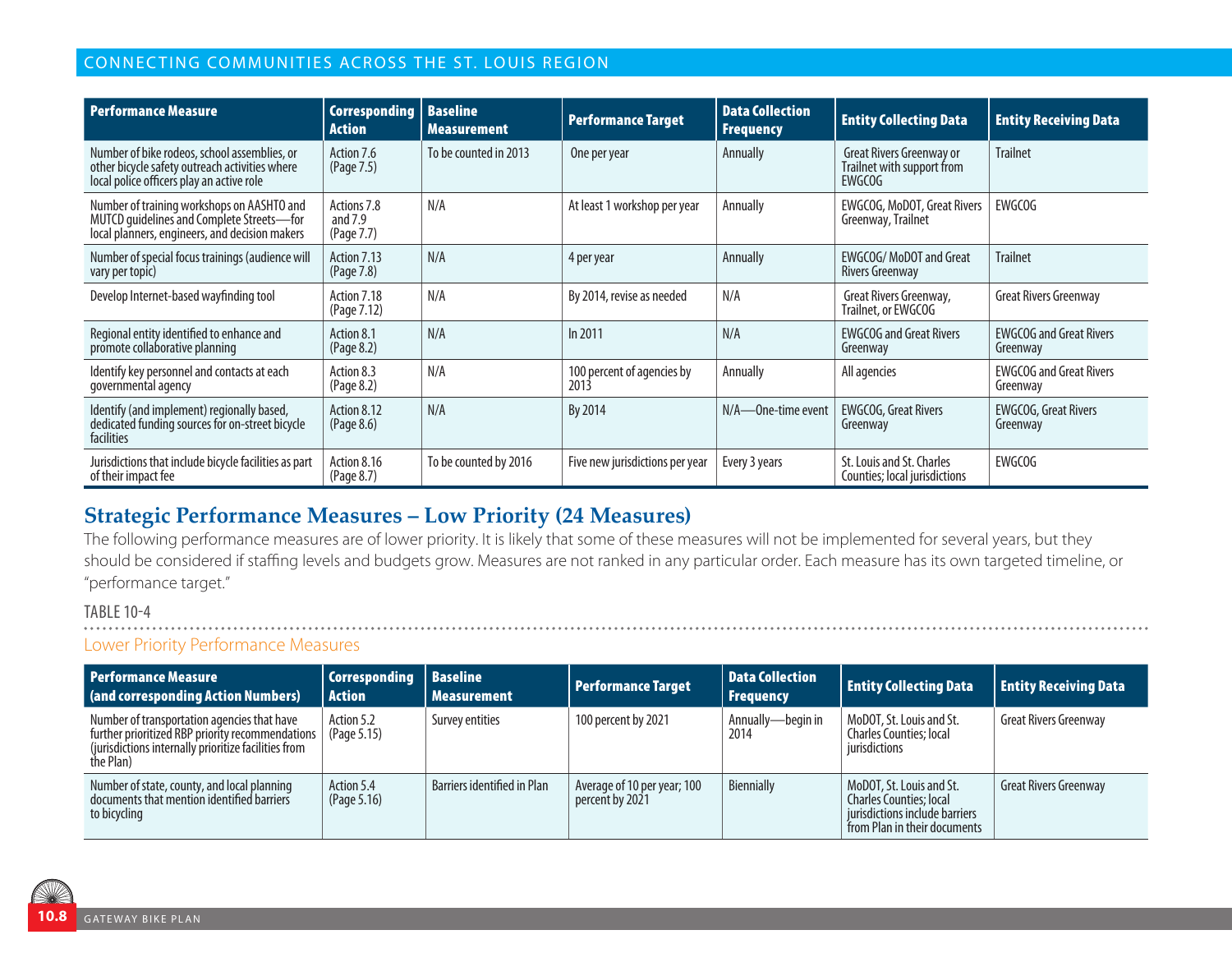| <b>Performance Measure</b>                                                                                                                  | <b>Corresponding</b><br><b>Action</b>  | <b>Baseline</b><br><b>Measurement</b> | <b>Performance Target</b>          | <b>Data Collection</b><br><b>Frequency</b> | <b>Entity Collecting Data</b>                                                  | <b>Entity Receiving Data</b>               |
|---------------------------------------------------------------------------------------------------------------------------------------------|----------------------------------------|---------------------------------------|------------------------------------|--------------------------------------------|--------------------------------------------------------------------------------|--------------------------------------------|
| Number of bike rodeos, school assemblies, or<br>other bicycle safety outreach activities where<br>local police officers play an active role | Action 7.6<br>(Page 7.5)               | To be counted in 2013                 | One per year                       | Annually                                   | <b>Great Rivers Greenway or</b><br>Trailnet with support from<br><b>EWGCOG</b> | <b>Trailnet</b>                            |
| Number of training workshops on AASHTO and<br>MUTCD guidelines and Complete Streets-for<br>local planners, engineers, and decision makers   | Actions 7.8<br>and $7.9$<br>(Page 7.7) | N/A                                   | At least 1 workshop per year       | Annually                                   | <b>EWGCOG, MoDOT, Great Rivers</b><br>Greenway, Trailnet                       | <b>EWGCOG</b>                              |
| Number of special focus trainings (audience will<br>vary per topic)                                                                         | Action 7.13<br>(Page 7.8)              | N/A                                   | 4 per year                         | Annually                                   | <b>EWGCOG/ MoDOT and Great</b><br>Rivers Greenway                              | <b>Trailnet</b>                            |
| Develop Internet-based wayfinding tool                                                                                                      | Action 7.18<br>(Page 7.12)             | N/A                                   | By 2014, revise as needed          | N/A                                        | Great Rivers Greenway,<br>Trailnet, or EWGCOG                                  | <b>Great Rivers Greenway</b>               |
| Regional entity identified to enhance and<br>promote collaborative planning                                                                 | Action 8.1<br>(Page 8.2)               | N/A                                   | In 2011                            | N/A                                        | <b>EWGCOG and Great Rivers</b><br>Greenway                                     | <b>EWGCOG and Great Rivers</b><br>Greenway |
| Identify key personnel and contacts at each<br>governmental agency                                                                          | Action 8.3<br>(Page 8.2)               | N/A                                   | 100 percent of agencies by<br>2013 | Annually                                   | All agencies                                                                   | <b>EWGCOG and Great Rivers</b><br>Greenway |
| Identify (and implement) regionally based,<br>dedicated funding sources for on-street bicycle<br>facilities                                 | Action 8.12<br>(Page 8.6)              | N/A                                   | By 2014                            | N/A-One-time event                         | <b>EWGCOG, Great Rivers</b><br>Greenway                                        | <b>EWGCOG, Great Rivers</b><br>Greenway    |
| Jurisdictions that include bicycle facilities as part<br>of their impact fee                                                                | Action 8.16<br>(Page 8.7)              | To be counted by 2016                 | Five new jurisdictions per year    | Every 3 years                              | St. Louis and St. Charles<br>Counties; local jurisdictions                     | <b>EWGCOG</b>                              |

# **Strategic Performance Measures – Low Priority (24 Measures)**

The following performance measures are of lower priority. It is likely that some of these measures will not be implemented for several years, but they should be considered if staffing levels and budgets grow. Measures are not ranked in any particular order. Each measure has its own targeted timeline, or "performance target."

#### TABLE 10-4

Lower Priority Performance Measures

| l Performance Measure<br>(and corresponding Action Numbers)                                                                                                          | <b>Corresponding</b><br><b>Action</b> | <b>Baseline</b><br><b>Measurement</b> | <b>Performance Target</b>                      | <b>Data Collection</b><br><b>Frequency</b> | <b>Entity Collecting Data</b>                                                                                                | <b>Entity Receiving Data</b> |
|----------------------------------------------------------------------------------------------------------------------------------------------------------------------|---------------------------------------|---------------------------------------|------------------------------------------------|--------------------------------------------|------------------------------------------------------------------------------------------------------------------------------|------------------------------|
| Number of transportation agencies that have<br>further prioritized RBP priority recommendations<br>(jurisdictions internally prioritize facilities from<br>the Plan) | Action 5.2<br>(Page 5.15)             | Survey entities                       | 100 percent by 2021                            | Annually-begin in<br>2014                  | MoDOT, St. Louis and St.<br>Charles Counties; local<br>jurisdictions                                                         | <b>Great Rivers Greenway</b> |
| Number of state, county, and local planning<br>documents that mention identified barriers<br>to bicycling                                                            | Action 5.4<br>(Page 5.16)             | <b>Barriers identified in Plan</b>    | Average of 10 per year; 100<br>percent by 2021 | Biennially                                 | MoDOT, St. Louis and St.<br><b>Charles Counties; local</b><br>jurisdictions include barriers<br>from Plan in their documents | <b>Great Rivers Greenway</b> |

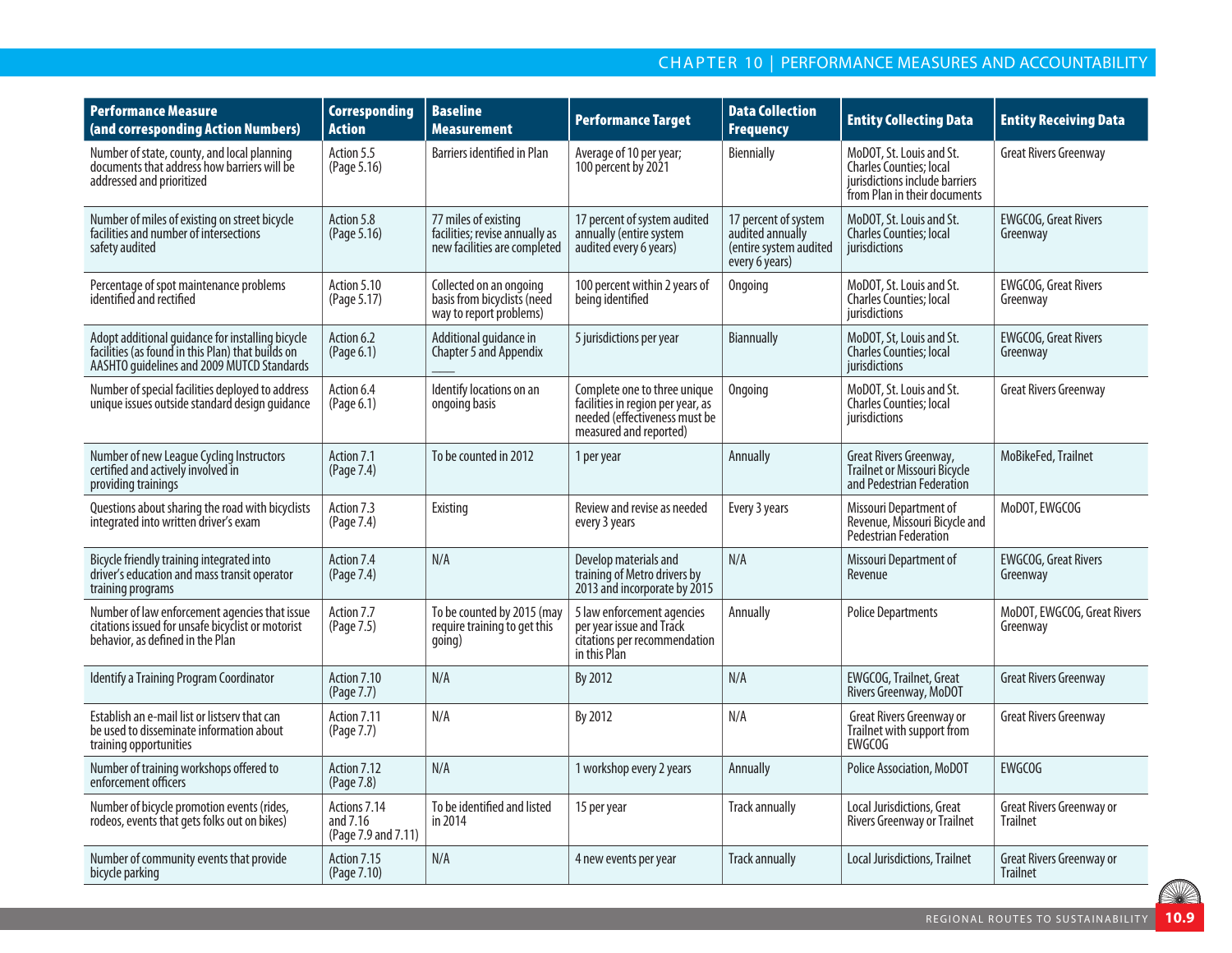# CHAPTER 10 | PERFORMANCE MEASURES AND ACCOUNTABILITY

| <b>Performance Measure</b><br>(and corresponding Action Numbers)                                                                                    | Corresponding<br><b>Action</b>                  | <b>Baseline</b><br>Measurement                                                         | <b>Performance Target</b>                                                                                                    | <b>Data Collection</b><br><b>Frequency</b>                                           | <b>Entity Collecting Data</b>                                                                                                 | <b>Entity Receiving Data</b>                       |
|-----------------------------------------------------------------------------------------------------------------------------------------------------|-------------------------------------------------|----------------------------------------------------------------------------------------|------------------------------------------------------------------------------------------------------------------------------|--------------------------------------------------------------------------------------|-------------------------------------------------------------------------------------------------------------------------------|----------------------------------------------------|
| Number of state, county, and local planning<br>documents that address how barriers will be<br>addressed and prioritized                             | Action 5.5<br>(Page 5.16)                       | <b>Barriers identified in Plan</b>                                                     | Average of 10 per year;<br>100 percent by 2021                                                                               | Biennially                                                                           | MoDOT, St. Louis and St.<br><b>Charles Counties</b> ; local<br>jurisdictions include barriers<br>from Plan in their documents | <b>Great Rivers Greenway</b>                       |
| Number of miles of existing on street bicycle<br>facilities and number of intersections<br>safety audited                                           | Action 5.8<br>(Page 5.16)                       | 77 miles of existing<br>facilities; revise annually as<br>new facilities are completed | 17 percent of system audited<br>annually (entire system<br>audited every 6 years)                                            | 17 percent of system<br>audited annually<br>(entire system audited<br>every 6 years) | MoDOT, St. Louis and St.<br><b>Charles Counties; local</b><br>jurisdictions                                                   | <b>EWGCOG, Great Rivers</b><br>Greenway            |
| Percentage of spot maintenance problems<br>identified and rectified                                                                                 | Action 5.10<br>(Page 5.17)                      | Collected on an ongoing<br>basis from bicyclists (need<br>way to report problems)      | 100 percent within 2 years of<br>being identified                                                                            | Ongoing                                                                              | MoDOT, St. Louis and St.<br><b>Charles Counties; local</b><br><i>iurisdictions</i>                                            | EWGCOG, Great Rivers<br>Greenway                   |
| Adopt additional guidance for installing bicycle<br>facilities (as found in this Plan) that builds on<br>AASHTO guidelines and 2009 MUTCD Standards | Action 6.2<br>(Page 6.1)                        | Additional guidance in<br>Chapter 5 and Appendix                                       | 5 jurisdictions per year                                                                                                     | <b>Biannually</b>                                                                    | MoDOT, St, Louis and St.<br>Charles Counties; local<br>jurisdictions                                                          | <b>EWGCOG, Great Rivers</b><br>Greenway            |
| Number of special facilities deployed to address<br>unique issues outside standard design quidance                                                  | Action 6.4<br>(Page 6.1)                        | Identify locations on an<br>ongoing basis                                              | Complete one to three unique<br>facilities in region per year, as<br>needed (effectiveness must be<br>measured and reported) | Ongoing                                                                              | MoDOT, St. Louis and St.<br>Charles Counties; local<br>jurisdictions                                                          | <b>Great Rivers Greenway</b>                       |
| Number of new League Cycling Instructors<br>certified and actively involved in<br>providing trainings                                               | Action 7.1<br>(Page 7.4)                        | To be counted in 2012                                                                  | 1 per year                                                                                                                   | <b>Annually</b>                                                                      | Great Rivers Greenway,<br><b>Trailnet or Missouri Bicycle</b><br>and Pedestrian Federation                                    | MoBikeFed, Trailnet                                |
| Questions about sharing the road with bicyclists<br>integrated into written driver's exam                                                           | Action 7.3<br>(Page 7.4)                        | Existing                                                                               | Review and revise as needed<br>every 3 years                                                                                 | Every 3 years                                                                        | <b>Missouri Department of</b><br>Revenue, Missouri Bicycle and<br>Pedestrian Federation                                       | MoDOT, EWGCOG                                      |
| Bicycle friendly training integrated into<br>driver's education and mass transit operator<br>training programs                                      | Action 7.4<br>(Page 7.4)                        | N/A                                                                                    | Develop materials and<br>training of Metro drivers by<br>2013 and incorporate by 2015                                        | N/A                                                                                  | Missouri Department of<br>Revenue                                                                                             | <b>EWGCOG, Great Rivers</b><br>Greenway            |
| Number of law enforcement agencies that issue<br>citations issued for unsafe bicyclist or motorist<br>behavior, as defined in the Plan              | Action 7.7<br>(Page 7.5)                        | To be counted by 2015 (may<br>require training to get this<br>going)                   | 5 law enforcement agencies<br>per year issue and Track<br>citations per recommendation<br>in this Plan                       | Annually                                                                             | <b>Police Departments</b>                                                                                                     | MoDOT, EWGCOG, Great Rivers<br>Greenway            |
| <b>Identify a Training Program Coordinator</b>                                                                                                      | Action 7.10<br>(Page 7.7)                       | N/A                                                                                    | By 2012                                                                                                                      | N/A                                                                                  | EWGCOG, Trailnet, Great<br>Rivers Greenway, MoDOT                                                                             | <b>Great Rivers Greenway</b>                       |
| Establish an e-mail list or listsery that can<br>be used to disseminate information about<br>training opportunities                                 | Action 7.11<br>(Page 7.7)                       | N/A                                                                                    | By 2012                                                                                                                      | N/A                                                                                  | Great Rivers Greenway or<br>Trailnet with support from<br><b>EWGCOG</b>                                                       | <b>Great Rivers Greenway</b>                       |
| Number of training workshops offered to<br>enforcement officers                                                                                     | Action 7.12<br>(Page 7.8)                       | N/A                                                                                    | 1 workshop every 2 years                                                                                                     | Annually                                                                             | <b>Police Association, MoDOT</b>                                                                                              | <b>EWGCOG</b>                                      |
| Number of bicycle promotion events (rides,<br>rodeos, events that gets folks out on bikes)                                                          | Actions 7.14<br>and 7.16<br>(Page 7.9 and 7.11) | To be identified and listed<br>in 2014                                                 | 15 per year                                                                                                                  | <b>Track annually</b>                                                                | Local Jurisdictions, Great<br><b>Rivers Greenway or Trailnet</b>                                                              | Great Rivers Greenway or<br><b>Trailnet</b>        |
| Number of community events that provide<br>bicycle parking                                                                                          | Action 7.15<br>(Page 7.10)                      | N/A                                                                                    | 4 new events per year                                                                                                        | <b>Track annually</b>                                                                | <b>Local Jurisdictions, Trailnet</b>                                                                                          | <b>Great Rivers Greenway or</b><br><b>Trailnet</b> |

61 A